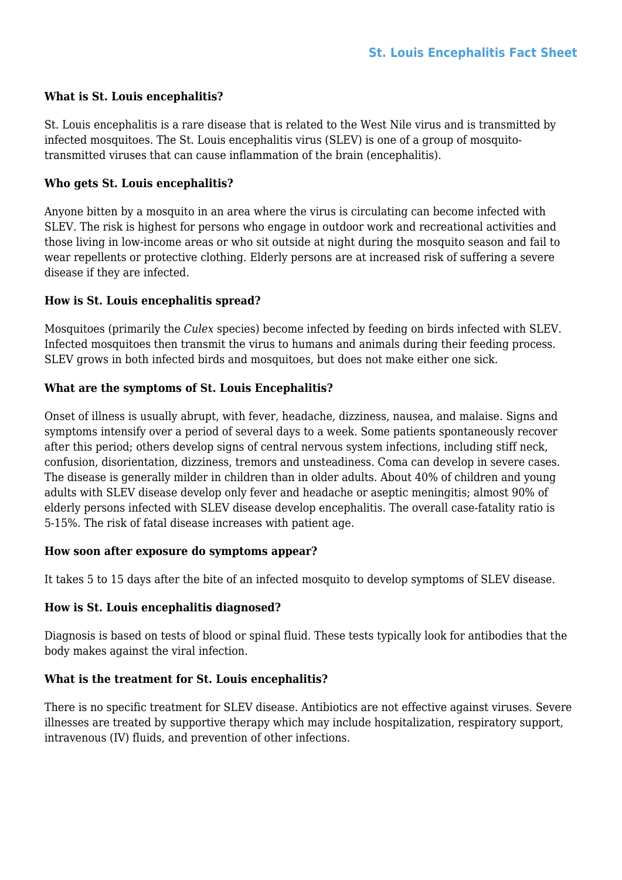### **What is St. Louis encephalitis?**

St. Louis encephalitis is a rare disease that is related to the West Nile virus and is transmitted by infected mosquitoes. The St. Louis encephalitis virus (SLEV) is one of a group of mosquitotransmitted viruses that can cause inflammation of the brain (encephalitis).

## **Who gets St. Louis encephalitis?**

Anyone bitten by a mosquito in an area where the virus is circulating can become infected with SLEV. The risk is highest for persons who engage in outdoor work and recreational activities and those living in low-income areas or who sit outside at night during the mosquito season and fail to wear repellents or protective clothing. Elderly persons are at increased risk of suffering a severe disease if they are infected.

### **How is St. Louis encephalitis spread?**

Mosquitoes (primarily the *Culex* species) become infected by feeding on birds infected with SLEV. Infected mosquitoes then transmit the virus to humans and animals during their feeding process. SLEV grows in both infected birds and mosquitoes, but does not make either one sick.

# **What are the symptoms of St. Louis Encephalitis?**

Onset of illness is usually abrupt, with fever, headache, dizziness, nausea, and malaise. Signs and symptoms intensify over a period of several days to a week. Some patients spontaneously recover after this period; others develop signs of central nervous system infections, including stiff neck, confusion, disorientation, dizziness, tremors and unsteadiness. Coma can develop in severe cases. The disease is generally milder in children than in older adults. About 40% of children and young adults with SLEV disease develop only fever and headache or aseptic meningitis; almost 90% of elderly persons infected with SLEV disease develop encephalitis. The overall case-fatality ratio is 5-15%. The risk of fatal disease increases with patient age.

### **How soon after exposure do symptoms appear?**

It takes 5 to 15 days after the bite of an infected mosquito to develop symptoms of SLEV disease.

### **How is St. Louis encephalitis diagnosed?**

Diagnosis is based on tests of blood or spinal fluid. These tests typically look for antibodies that the body makes against the viral infection.

### **What is the treatment for St. Louis encephalitis?**

There is no specific treatment for SLEV disease. Antibiotics are not effective against viruses. Severe illnesses are treated by supportive therapy which may include hospitalization, respiratory support, intravenous (IV) fluids, and prevention of other infections.